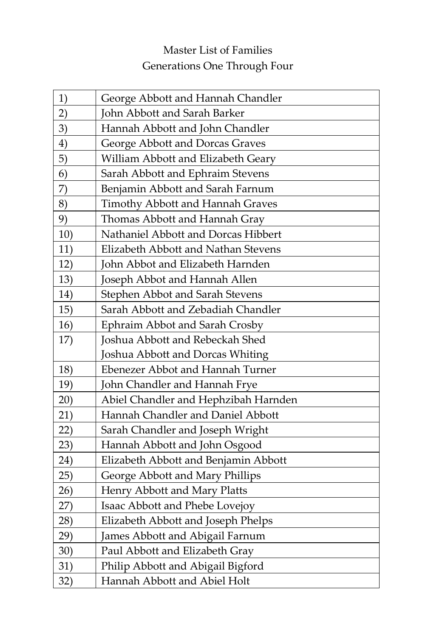## Master List of Families Generations One Through Four

| 1)  | George Abbott and Hannah Chandler    |
|-----|--------------------------------------|
| 2)  | John Abbott and Sarah Barker         |
| 3)  | Hannah Abbott and John Chandler      |
| 4)  | George Abbott and Dorcas Graves      |
| 5)  | William Abbott and Elizabeth Geary   |
| 6)  | Sarah Abbott and Ephraim Stevens     |
| 7)  | Benjamin Abbott and Sarah Farnum     |
| 8)  | Timothy Abbott and Hannah Graves     |
| 9)  | Thomas Abbott and Hannah Gray        |
| 10) | Nathaniel Abbott and Dorcas Hibbert  |
| 11) | Elizabeth Abbott and Nathan Stevens  |
| 12) | John Abbot and Elizabeth Harnden     |
| 13) | Joseph Abbot and Hannah Allen        |
| 14) | Stephen Abbot and Sarah Stevens      |
| 15) | Sarah Abbott and Zebadiah Chandler   |
| 16) | Ephraim Abbot and Sarah Crosby       |
| 17) | Joshua Abbott and Rebeckah Shed      |
|     | Joshua Abbott and Dorcas Whiting     |
| 18) | Ebenezer Abbot and Hannah Turner     |
| 19) | John Chandler and Hannah Frye        |
| 20) | Abiel Chandler and Hephzibah Harnden |
| 21) | Hannah Chandler and Daniel Abbott    |
| 22) | Sarah Chandler and Joseph Wright     |
| 23) | Hannah Abbott and John Osgood        |
| 24) | Elizabeth Abbott and Benjamin Abbott |
| 25) | George Abbott and Mary Phillips      |
| 26) | Henry Abbott and Mary Platts         |
| 27) | Isaac Abbott and Phebe Lovejoy       |
| 28) | Elizabeth Abbott and Joseph Phelps   |
| 29) | James Abbott and Abigail Farnum      |
| 30) | Paul Abbott and Elizabeth Gray       |
| 31) | Philip Abbott and Abigail Bigford    |
| 32) | Hannah Abbott and Abiel Holt         |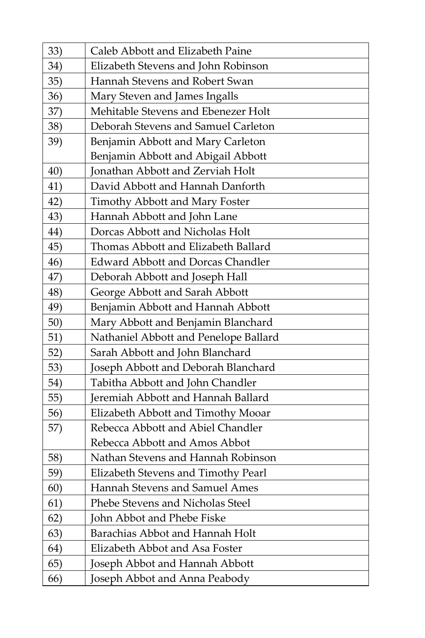| 33) | Caleb Abbott and Elizabeth Paine         |
|-----|------------------------------------------|
| 34) | Elizabeth Stevens and John Robinson      |
| 35) | Hannah Stevens and Robert Swan           |
| 36) | Mary Steven and James Ingalls            |
| 37) | Mehitable Stevens and Ebenezer Holt      |
| 38) | Deborah Stevens and Samuel Carleton      |
| 39) | Benjamin Abbott and Mary Carleton        |
|     | Benjamin Abbott and Abigail Abbott       |
| 40) | Jonathan Abbott and Zerviah Holt         |
| 41) | David Abbott and Hannah Danforth         |
| 42) | Timothy Abbott and Mary Foster           |
| 43) | Hannah Abbott and John Lane              |
| 44) | Dorcas Abbott and Nicholas Holt          |
| 45) | Thomas Abbott and Elizabeth Ballard      |
| 46) | <b>Edward Abbott and Dorcas Chandler</b> |
| 47) | Deborah Abbott and Joseph Hall           |
| 48) | George Abbott and Sarah Abbott           |
| 49) | Benjamin Abbott and Hannah Abbott        |
| 50) | Mary Abbott and Benjamin Blanchard       |
| 51) | Nathaniel Abbott and Penelope Ballard    |
| 52) | Sarah Abbott and John Blanchard          |
| 53) | Joseph Abbott and Deborah Blanchard      |
| 54) | Tabitha Abbott and John Chandler         |
| 55) | Jeremiah Abbott and Hannah Ballard       |
| 56) | Elizabeth Abbott and Timothy Mooar       |
| 57) | Rebecca Abbott and Abiel Chandler        |
|     | Rebecca Abbott and Amos Abbot            |
| 58) | Nathan Stevens and Hannah Robinson       |
| 59) | Elizabeth Stevens and Timothy Pearl      |
| 60) | Hannah Stevens and Samuel Ames           |
| 61) | Phebe Stevens and Nicholas Steel         |
| 62) | John Abbot and Phebe Fiske               |
| 63) | Barachias Abbot and Hannah Holt          |
| 64) | Elizabeth Abbot and Asa Foster           |
| 65) | Joseph Abbot and Hannah Abbott           |
| 66) | Joseph Abbot and Anna Peabody            |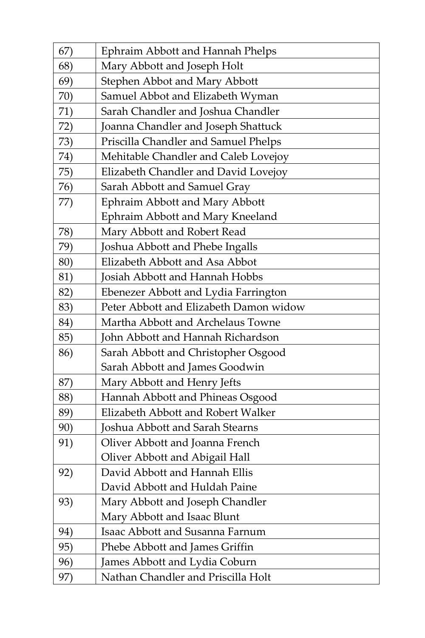| 67) | Ephraim Abbott and Hannah Phelps       |
|-----|----------------------------------------|
| 68) | Mary Abbott and Joseph Holt            |
| 69) | Stephen Abbot and Mary Abbott          |
| 70) | Samuel Abbot and Elizabeth Wyman       |
| 71) | Sarah Chandler and Joshua Chandler     |
| 72) | Joanna Chandler and Joseph Shattuck    |
| 73) | Priscilla Chandler and Samuel Phelps   |
| 74) | Mehitable Chandler and Caleb Lovejoy   |
| 75) | Elizabeth Chandler and David Lovejoy   |
| 76) | Sarah Abbott and Samuel Gray           |
| 77) | Ephraim Abbott and Mary Abbott         |
|     | Ephraim Abbott and Mary Kneeland       |
| 78) | Mary Abbott and Robert Read            |
| 79) | Joshua Abbott and Phebe Ingalls        |
| 80) | Elizabeth Abbott and Asa Abbot         |
| 81) | Josiah Abbott and Hannah Hobbs         |
| 82) | Ebenezer Abbott and Lydia Farrington   |
| 83) | Peter Abbott and Elizabeth Damon widow |
| 84) | Martha Abbott and Archelaus Towne      |
| 85) | John Abbott and Hannah Richardson      |
| 86) | Sarah Abbott and Christopher Osgood    |
|     | Sarah Abbott and James Goodwin         |
| 87) | Mary Abbott and Henry Jefts            |
| 88) | Hannah Abbott and Phineas Osgood       |
| 89) | Elizabeth Abbott and Robert Walker     |
| 90) | Joshua Abbott and Sarah Stearns        |
| 91) | Oliver Abbott and Joanna French        |
|     | Oliver Abbott and Abigail Hall         |
| 92) | David Abbott and Hannah Ellis          |
|     | David Abbott and Huldah Paine          |
| 93) | Mary Abbott and Joseph Chandler        |
|     | Mary Abbott and Isaac Blunt            |
| 94) | Isaac Abbott and Susanna Farnum        |
| 95) | Phebe Abbott and James Griffin         |
| 96) | James Abbott and Lydia Coburn          |
| 97) | Nathan Chandler and Priscilla Holt     |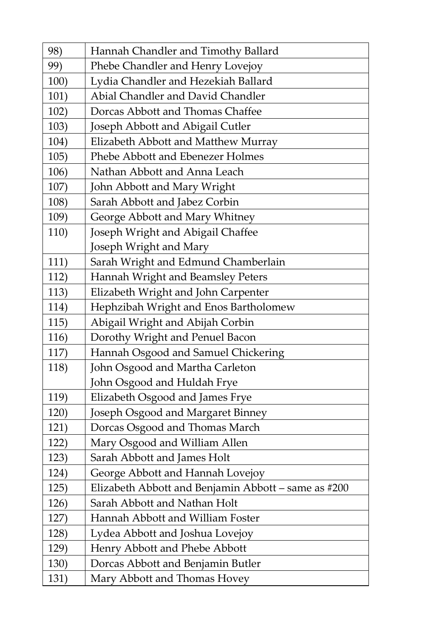| 98)  | Hannah Chandler and Timothy Ballard                    |
|------|--------------------------------------------------------|
| 99)  | Phebe Chandler and Henry Lovejoy                       |
| 100) | Lydia Chandler and Hezekiah Ballard                    |
| 101) | Abial Chandler and David Chandler                      |
| 102) | Dorcas Abbott and Thomas Chaffee                       |
| 103) | Joseph Abbott and Abigail Cutler                       |
| 104) | Elizabeth Abbott and Matthew Murray                    |
| 105) | Phebe Abbott and Ebenezer Holmes                       |
| 106) | Nathan Abbott and Anna Leach                           |
| 107) | John Abbott and Mary Wright                            |
| 108) | Sarah Abbott and Jabez Corbin                          |
| 109) | George Abbott and Mary Whitney                         |
| 110) | Joseph Wright and Abigail Chaffee                      |
|      | Joseph Wright and Mary                                 |
| 111) | Sarah Wright and Edmund Chamberlain                    |
| 112) | Hannah Wright and Beamsley Peters                      |
| 113) | Elizabeth Wright and John Carpenter                    |
| 114) | Hephzibah Wright and Enos Bartholomew                  |
| 115) | Abigail Wright and Abijah Corbin                       |
| 116) | Dorothy Wright and Penuel Bacon                        |
| 117) | Hannah Osgood and Samuel Chickering                    |
| 118) | John Osgood and Martha Carleton                        |
|      | John Osgood and Huldah Frye                            |
| 119) | Elizabeth Osgood and James Frye                        |
| 120) | Joseph Osgood and Margaret Binney                      |
| 121) | Dorcas Osgood and Thomas March                         |
| 122) | Mary Osgood and William Allen                          |
| 123) | Sarah Abbott and James Holt                            |
| 124) | George Abbott and Hannah Lovejoy                       |
| 125) | Elizabeth Abbott and Benjamin Abbott – same as $\#200$ |
| 126) | Sarah Abbott and Nathan Holt                           |
| 127) | Hannah Abbott and William Foster                       |
| 128) | Lydea Abbott and Joshua Lovejoy                        |
| 129) | Henry Abbott and Phebe Abbott                          |
| 130) | Dorcas Abbott and Benjamin Butler                      |
| 131) | Mary Abbott and Thomas Hovey                           |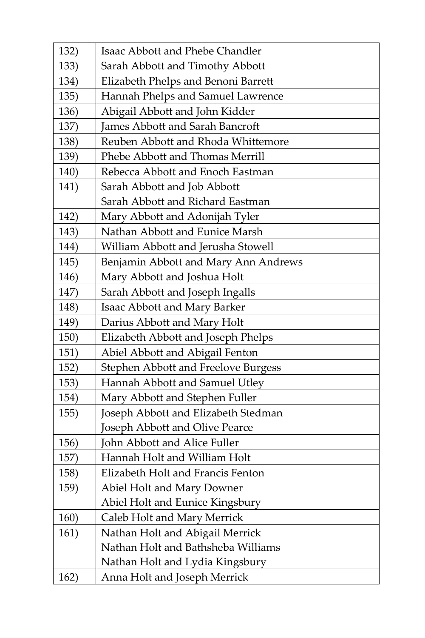| 132) | Isaac Abbott and Phebe Chandler      |
|------|--------------------------------------|
| 133) | Sarah Abbott and Timothy Abbott      |
| 134) | Elizabeth Phelps and Benoni Barrett  |
| 135) | Hannah Phelps and Samuel Lawrence    |
| 136) | Abigail Abbott and John Kidder       |
| 137) | James Abbott and Sarah Bancroft      |
| 138) | Reuben Abbott and Rhoda Whittemore   |
| 139) | Phebe Abbott and Thomas Merrill      |
| 140) | Rebecca Abbott and Enoch Eastman     |
| 141) | Sarah Abbott and Job Abbott          |
|      | Sarah Abbott and Richard Eastman     |
| 142) | Mary Abbott and Adonijah Tyler       |
| 143) | Nathan Abbott and Eunice Marsh       |
| 144) | William Abbott and Jerusha Stowell   |
| 145) | Benjamin Abbott and Mary Ann Andrews |
| 146) | Mary Abbott and Joshua Holt          |
| 147) | Sarah Abbott and Joseph Ingalls      |
| 148) | Isaac Abbott and Mary Barker         |
| 149) | Darius Abbott and Mary Holt          |
| 150) | Elizabeth Abbott and Joseph Phelps   |
| 151) | Abiel Abbott and Abigail Fenton      |
| 152) | Stephen Abbott and Freelove Burgess  |
| 153) | Hannah Abbott and Samuel Utley       |
| 154) | Mary Abbott and Stephen Fuller       |
| 155) | Joseph Abbott and Elizabeth Stedman  |
|      | Joseph Abbott and Olive Pearce       |
| 156) | John Abbott and Alice Fuller         |
| 157) | Hannah Holt and William Holt         |
| 158) | Elizabeth Holt and Francis Fenton    |
| 159) | Abiel Holt and Mary Downer           |
|      | Abiel Holt and Eunice Kingsbury      |
| 160) | Caleb Holt and Mary Merrick          |
| 161) | Nathan Holt and Abigail Merrick      |
|      | Nathan Holt and Bathsheba Williams   |
|      | Nathan Holt and Lydia Kingsbury      |
| 162) | Anna Holt and Joseph Merrick         |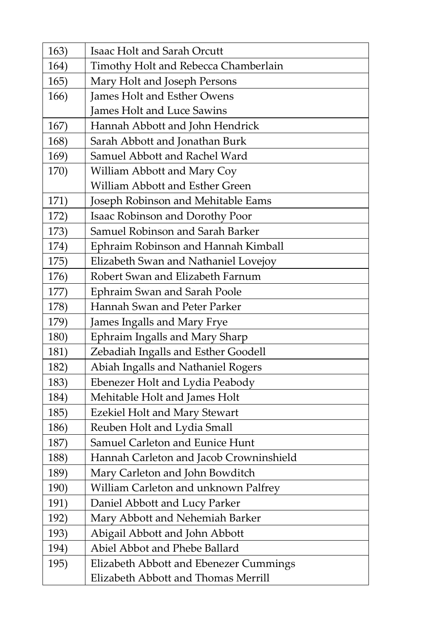| 163) | Isaac Holt and Sarah Orcutt             |
|------|-----------------------------------------|
| 164) | Timothy Holt and Rebecca Chamberlain    |
| 165) | Mary Holt and Joseph Persons            |
| 166) | James Holt and Esther Owens             |
|      | James Holt and Luce Sawins              |
| 167) | Hannah Abbott and John Hendrick         |
| 168) | Sarah Abbott and Jonathan Burk          |
| 169) | Samuel Abbott and Rachel Ward           |
| 170) | William Abbott and Mary Coy             |
|      | William Abbott and Esther Green         |
| 171) | Joseph Robinson and Mehitable Eams      |
| 172) | Isaac Robinson and Dorothy Poor         |
| 173) | Samuel Robinson and Sarah Barker        |
| 174) | Ephraim Robinson and Hannah Kimball     |
| 175) | Elizabeth Swan and Nathaniel Lovejoy    |
| 176) | Robert Swan and Elizabeth Farnum        |
| 177) | Ephraim Swan and Sarah Poole            |
| 178) | Hannah Swan and Peter Parker            |
| 179) | James Ingalls and Mary Frye             |
| 180) | Ephraim Ingalls and Mary Sharp          |
| 181) | Zebadiah Ingalls and Esther Goodell     |
| 182) | Abiah Ingalls and Nathaniel Rogers      |
| 183) | Ebenezer Holt and Lydia Peabody         |
| 184) | Mehitable Holt and James Holt           |
| 185) | <b>Ezekiel Holt and Mary Stewart</b>    |
| 186) | Reuben Holt and Lydia Small             |
| 187) | Samuel Carleton and Eunice Hunt         |
| 188) | Hannah Carleton and Jacob Crowninshield |
| 189) | Mary Carleton and John Bowditch         |
| 190) | William Carleton and unknown Palfrey    |
| 191) | Daniel Abbott and Lucy Parker           |
| 192) | Mary Abbott and Nehemiah Barker         |
| 193) | Abigail Abbott and John Abbott          |
| 194) | Abiel Abbot and Phebe Ballard           |
| 195) | Elizabeth Abbott and Ebenezer Cummings  |
|      | Elizabeth Abbott and Thomas Merrill     |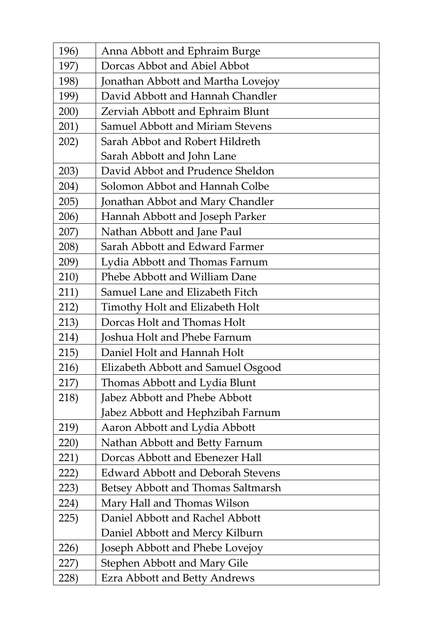| 196) | Anna Abbott and Ephraim Burge            |
|------|------------------------------------------|
| 197) | Dorcas Abbot and Abiel Abbot             |
| 198) | Jonathan Abbott and Martha Lovejoy       |
| 199) | David Abbott and Hannah Chandler         |
| 200) | Zerviah Abbott and Ephraim Blunt         |
| 201) | Samuel Abbott and Miriam Stevens         |
| 202) | Sarah Abbot and Robert Hildreth          |
|      | Sarah Abbott and John Lane               |
| 203) | David Abbot and Prudence Sheldon         |
| 204) | Solomon Abbot and Hannah Colbe           |
| 205) | Jonathan Abbot and Mary Chandler         |
| 206) | Hannah Abbott and Joseph Parker          |
| 207) | Nathan Abbott and Jane Paul              |
| 208) | Sarah Abbott and Edward Farmer           |
| 209) | Lydia Abbott and Thomas Farnum           |
| 210) | Phebe Abbott and William Dane            |
| 211) | Samuel Lane and Elizabeth Fitch          |
| 212) | Timothy Holt and Elizabeth Holt          |
| 213) | Dorcas Holt and Thomas Holt              |
| 214) | Joshua Holt and Phebe Farnum             |
| 215) | Daniel Holt and Hannah Holt              |
| 216) | Elizabeth Abbott and Samuel Osgood       |
| 217) | Thomas Abbott and Lydia Blunt            |
| 218) | Jabez Abbott and Phebe Abbott            |
|      | Jabez Abbott and Hephzibah Farnum        |
| 219) | Aaron Abbott and Lydia Abbott            |
| 220) | Nathan Abbott and Betty Farnum           |
| 221) | Dorcas Abbott and Ebenezer Hall          |
| 222) | <b>Edward Abbott and Deborah Stevens</b> |
| 223) | Betsey Abbott and Thomas Saltmarsh       |
| 224) | Mary Hall and Thomas Wilson              |
| 225) | Daniel Abbott and Rachel Abbott          |
|      | Daniel Abbott and Mercy Kilburn          |
| 226) | Joseph Abbott and Phebe Lovejoy          |
| 227) | Stephen Abbott and Mary Gile             |
| 228) | Ezra Abbott and Betty Andrews            |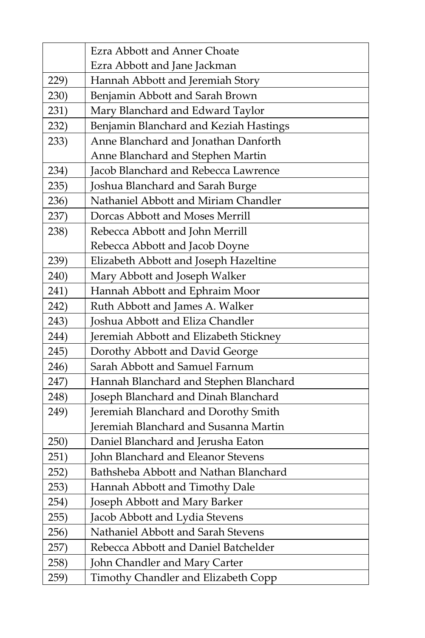|      | Ezra Abbott and Anner Choate           |
|------|----------------------------------------|
|      | Ezra Abbott and Jane Jackman           |
| 229) | Hannah Abbott and Jeremiah Story       |
| 230) | Benjamin Abbott and Sarah Brown        |
| 231) | Mary Blanchard and Edward Taylor       |
| 232) | Benjamin Blanchard and Keziah Hastings |
| 233) | Anne Blanchard and Jonathan Danforth   |
|      | Anne Blanchard and Stephen Martin      |
| 234) | Jacob Blanchard and Rebecca Lawrence   |
| 235) | Joshua Blanchard and Sarah Burge       |
| 236) | Nathaniel Abbott and Miriam Chandler   |
| 237) | Dorcas Abbott and Moses Merrill        |
| 238) | Rebecca Abbott and John Merrill        |
|      | Rebecca Abbott and Jacob Doyne         |
| 239) | Elizabeth Abbott and Joseph Hazeltine  |
| 240) | Mary Abbott and Joseph Walker          |
| 241) | Hannah Abbott and Ephraim Moor         |
| 242) | Ruth Abbott and James A. Walker        |
| 243) | Joshua Abbott and Eliza Chandler       |
| 244) | Jeremiah Abbott and Elizabeth Stickney |
| 245) | Dorothy Abbott and David George        |
| 246) | Sarah Abbott and Samuel Farnum         |
| 247) | Hannah Blanchard and Stephen Blanchard |
| 248) | Joseph Blanchard and Dinah Blanchard   |
| 249) | Jeremiah Blanchard and Dorothy Smith   |
|      | Jeremiah Blanchard and Susanna Martin  |
| 250) | Daniel Blanchard and Jerusha Eaton     |
| 251) | John Blanchard and Eleanor Stevens     |
| 252) | Bathsheba Abbott and Nathan Blanchard  |
| 253) | Hannah Abbott and Timothy Dale         |
| 254) | Joseph Abbott and Mary Barker          |
| 255) | Jacob Abbott and Lydia Stevens         |
| 256) | Nathaniel Abbott and Sarah Stevens     |
| 257) | Rebecca Abbott and Daniel Batchelder   |
| 258) | John Chandler and Mary Carter          |
| 259) | Timothy Chandler and Elizabeth Copp    |